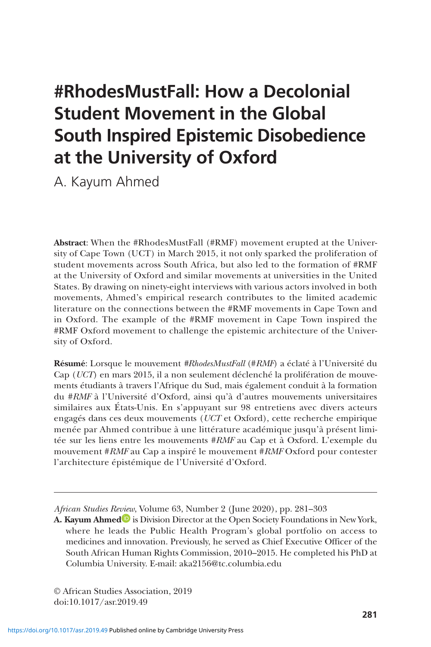# **#RhodesMustFall: How a Decolonial Student Movement in the Global South Inspired Epistemic Disobedience at the University of Oxford**

A. Kayum Ahmed

**Abstract**: When the #RhodesMustFall (#RMF) movement erupted at the University of Cape Town (UCT) in March 2015, it not only sparked the proliferation of student movements across South Africa, but also led to the formation of #RMF at the University of Oxford and similar movements at universities in the United States. By drawing on ninety-eight interviews with various actors involved in both movements, Ahmed's empirical research contributes to the limited academic literature on the connections between the #RMF movements in Cape Town and in Oxford. The example of the #RMF movement in Cape Town inspired the #RMF Oxford movement to challenge the epistemic architecture of the University of Oxford.

**Résumé**: Lorsque le mouvement *#RhodesMustFall* (#*RMF*) a éclaté à l'Université du Cap (*UCT*) en mars 2015, il a non seulement déclenché la prolifération de mouvements étudiants à travers l'Afrique du Sud, mais également conduit à la formation du #*RMF* à l'Université d'Oxford, ainsi qu'à d'autres mouvements universitaires similaires aux États-Unis. En s'appuyant sur 98 entretiens avec divers acteurs engagés dans ces deux mouvements (*UCT* et Oxford), cette recherche empirique menée par Ahmed contribue à une littérature académique jusqu'à présent limitée sur les liens entre les mouvements #*RMF* au Cap et à Oxford. L'exemple du mouvement #*RMF* au Cap a inspiré le mouvement #*RMF* Oxford pour contester l'architecture épistémique de l'Université d'Oxford.

*African Studies Review*, Volume 63, Number 2 (June 2020), pp. 281–303

A.Kayum Ahmed<sup>D</sup> is Division Director at the Open Society Foundations in New York, where he leads the Public Health Program's global portfolio on access to medicines and innovation. Previously, he served as Chief Executive Officer of the South African Human Rights Commission, 2010–2015. He completed his PhD at Columbia University. E-mail: [aka2156@tc.columbia.edu](mailto:aka2156@tc.columbia.edu)

<sup>©</sup> African Studies Association, 2019 doi:10.1017/asr.2019.49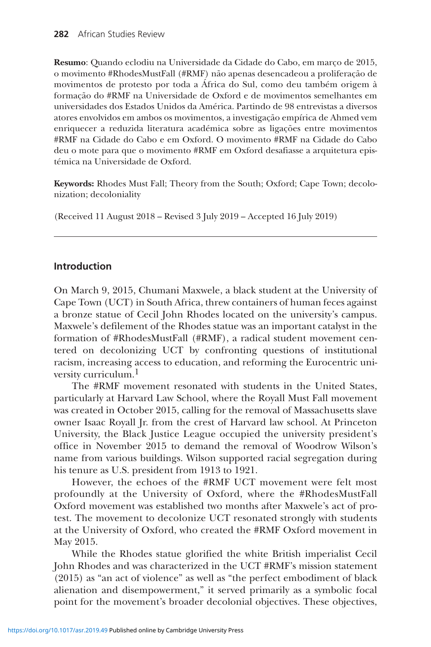**Resumo**: Quando eclodiu na Universidade da Cidade do Cabo, em março de 2015, o movimento #RhodesMustFall (#RMF) não apenas desencadeou a proliferação de movimentos de protesto por toda a África do Sul, como deu também origem à formação do #RMF na Universidade de Oxford e de movimentos semelhantes em universidades dos Estados Unidos da América. Partindo de 98 entrevistas a diversos atores envolvidos em ambos os movimentos, a investigação empírica de Ahmed vem enriquecer a reduzida literatura académica sobre as ligações entre movimentos #RMF na Cidade do Cabo e em Oxford. O movimento #RMF na Cidade do Cabo deu o mote para que o movimento #RMF em Oxford desafiasse a arquitetura epistémica na Universidade de Oxford.

**Keywords:** Rhodes Must Fall; Theory from the South; Oxford; Cape Town; decolonization; decoloniality

(Received 11 August 2018 – Revised 3 July 2019 – Accepted 16 July 2019)

# **Introduction**

On March 9, 2015, Chumani Maxwele, a black student at the University of Cape Town (UCT) in South Africa, threw containers of human feces against a bronze statue of Cecil John Rhodes located on the university's campus. Maxwele's defilement of the Rhodes statue was an important catalyst in the formation of #RhodesMustFall (#RMF), a radical student movement centered on decolonizing UCT by confronting questions of institutional racism, increasing access to education, and reforming the Eurocentric university curriculum.1

The #RMF movement resonated with students in the United States, particularly at Harvard Law School, where the Royall Must Fall movement was created in October 2015, calling for the removal of Massachusetts slave owner Isaac Royall Jr. from the crest of Harvard law school. At Princeton University, the Black Justice League occupied the university president's office in November 2015 to demand the removal of Woodrow Wilson's name from various buildings. Wilson supported racial segregation during his tenure as U.S. president from 1913 to 1921.

However, the echoes of the #RMF UCT movement were felt most profoundly at the University of Oxford, where the #RhodesMustFall Oxford movement was established two months after Maxwele's act of protest. The movement to decolonize UCT resonated strongly with students at the University of Oxford, who created the #RMF Oxford movement in May 2015.

While the Rhodes statue glorified the white British imperialist Cecil John Rhodes and was characterized in the UCT #RMF's mission statement (2015) as "an act of violence" as well as "the perfect embodiment of black alienation and disempowerment," it served primarily as a symbolic focal point for the movement's broader decolonial objectives. These objectives,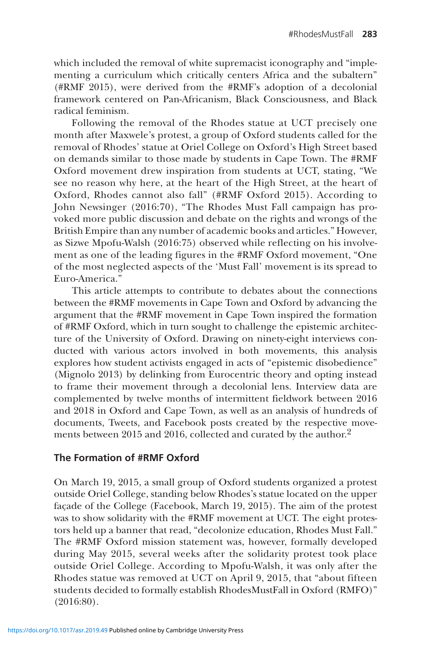which included the removal of white supremacist iconography and "implementing a curriculum which critically centers Africa and the subaltern" (#RMF 2015), were derived from the #RMF's adoption of a decolonial framework centered on Pan-Africanism, Black Consciousness, and Black radical feminism.

Following the removal of the Rhodes statue at UCT precisely one month after Maxwele's protest, a group of Oxford students called for the removal of Rhodes' statue at Oriel College on Oxford's High Street based on demands similar to those made by students in Cape Town. The #RMF Oxford movement drew inspiration from students at UCT, stating, "We see no reason why here, at the heart of the High Street, at the heart of Oxford, Rhodes cannot also fall" (#RMF Oxford 2015). According to John Newsinger (2016:70), "The Rhodes Must Fall campaign has provoked more public discussion and debate on the rights and wrongs of the British Empire than any number of academic books and articles." However, as Sizwe Mpofu-Walsh (2016:75) observed while reflecting on his involvement as one of the leading figures in the #RMF Oxford movement, "One of the most neglected aspects of the 'Must Fall' movement is its spread to Euro-America."

This article attempts to contribute to debates about the connections between the #RMF movements in Cape Town and Oxford by advancing the argument that the #RMF movement in Cape Town inspired the formation of #RMF Oxford, which in turn sought to challenge the epistemic architecture of the University of Oxford. Drawing on ninety-eight interviews conducted with various actors involved in both movements, this analysis explores how student activists engaged in acts of "epistemic disobedience" (Mignolo 2013) by delinking from Eurocentric theory and opting instead to frame their movement through a decolonial lens. Interview data are complemented by twelve months of intermittent fieldwork between 2016 and 2018 in Oxford and Cape Town, as well as an analysis of hundreds of documents, Tweets, and Facebook posts created by the respective movements between 2015 and 2016, collected and curated by the author.<sup>2</sup>

# **The Formation of #RMF Oxford**

On March 19, 2015, a small group of Oxford students organized a protest outside Oriel College, standing below Rhodes's statue located on the upper façade of the College (Facebook, March 19, 2015). The aim of the protest was to show solidarity with the #RMF movement at UCT. The eight protestors held up a banner that read, "decolonize education, Rhodes Must Fall." The #RMF Oxford mission statement was, however, formally developed during May 2015, several weeks after the solidarity protest took place outside Oriel College. According to Mpofu-Walsh, it was only after the Rhodes statue was removed at UCT on April 9, 2015, that "about fifteen students decided to formally establish RhodesMustFall in Oxford (RMFO)" (2016:80).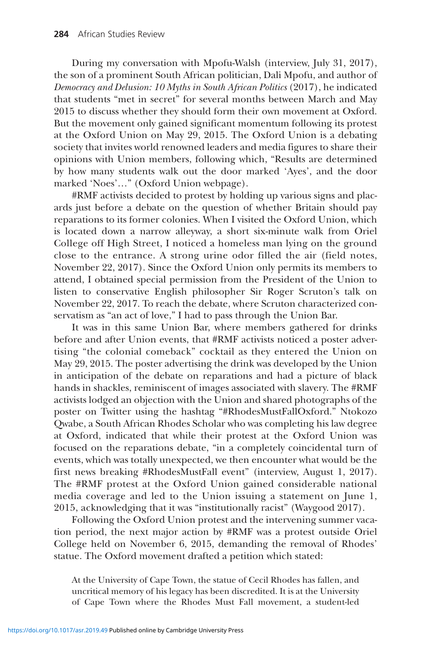During my conversation with Mpofu-Walsh (interview, July 31, 2017), the son of a prominent South African politician, Dali Mpofu, and author of *Democracy and Delusion: 10 Myths in South African Politics* (2017), he indicated that students "met in secret" for several months between March and May 2015 to discuss whether they should form their own movement at Oxford. But the movement only gained significant momentum following its protest at the Oxford Union on May 29, 2015. The Oxford Union is a debating society that invites world renowned leaders and media figures to share their opinions with Union members, following which, "Results are determined by how many students walk out the door marked 'Ayes', and the door marked 'Noes'…" (Oxford Union webpage).

#RMF activists decided to protest by holding up various signs and placards just before a debate on the question of whether Britain should pay reparations to its former colonies. When I visited the Oxford Union, which is located down a narrow alleyway, a short six-minute walk from Oriel College off High Street, I noticed a homeless man lying on the ground close to the entrance. A strong urine odor filled the air (field notes, November 22, 2017). Since the Oxford Union only permits its members to attend, I obtained special permission from the President of the Union to listen to conservative English philosopher Sir Roger Scruton's talk on November 22, 2017. To reach the debate, where Scruton characterized conservatism as "an act of love," I had to pass through the Union Bar.

It was in this same Union Bar, where members gathered for drinks before and after Union events, that #RMF activists noticed a poster advertising "the colonial comeback" cocktail as they entered the Union on May 29, 2015. The poster advertising the drink was developed by the Union in anticipation of the debate on reparations and had a picture of black hands in shackles, reminiscent of images associated with slavery. The #RMF activists lodged an objection with the Union and shared photographs of the poster on Twitter using the hashtag "#RhodesMustFallOxford." Ntokozo Qwabe, a South African Rhodes Scholar who was completing his law degree at Oxford, indicated that while their protest at the Oxford Union was focused on the reparations debate, "in a completely coincidental turn of events, which was totally unexpected, we then encounter what would be the first news breaking #RhodesMustFall event" (interview, August 1, 2017). The #RMF protest at the Oxford Union gained considerable national media coverage and led to the Union issuing a statement on June 1, 2015, acknowledging that it was "institutionally racist" (Waygood 2017).

Following the Oxford Union protest and the intervening summer vacation period, the next major action by #RMF was a protest outside Oriel College held on November 6, 2015, demanding the removal of Rhodes' statue. The Oxford movement drafted a petition which stated:

At the University of Cape Town, the statue of Cecil Rhodes has fallen, and uncritical memory of his legacy has been discredited. It is at the University of Cape Town where the Rhodes Must Fall movement, a student-led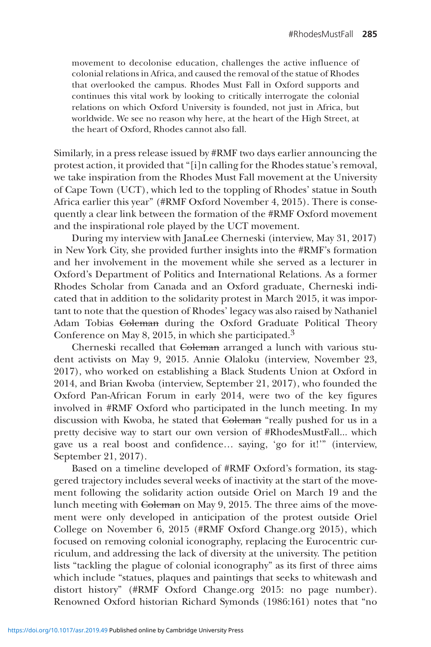movement to decolonise education, challenges the active influence of colonial relations in Africa, and caused the removal of the statue of Rhodes that overlooked the campus. Rhodes Must Fall in Oxford supports and continues this vital work by looking to critically interrogate the colonial relations on which Oxford University is founded, not just in Africa, but worldwide. We see no reason why here, at the heart of the High Street, at the heart of Oxford, Rhodes cannot also fall.

Similarly, in a press release issued by #RMF two days earlier announcing the protest action, it provided that "[i]n calling for the Rhodes statue's removal, we take inspiration from the Rhodes Must Fall movement at the University of Cape Town (UCT), which led to the toppling of Rhodes' statue in South Africa earlier this year" (#RMF Oxford November 4, 2015). There is consequently a clear link between the formation of the #RMF Oxford movement and the inspirational role played by the UCT movement.

During my interview with JanaLee Cherneski (interview, May 31, 2017) in New York City, she provided further insights into the #RMF's formation and her involvement in the movement while she served as a lecturer in Oxford's Department of Politics and International Relations. As a former Rhodes Scholar from Canada and an Oxford graduate, Cherneski indicated that in addition to the solidarity protest in March 2015, it was important to note that the question of Rhodes' legacy was also raised by Nathaniel Adam Tobias Coleman during the Oxford Graduate Political Theory Conference on May 8, 2015, in which she participated.<sup>3</sup>

Cherneski recalled that Coleman arranged a lunch with various student activists on May 9, 2015. Annie Olaloku (interview, November 23, 2017), who worked on establishing a Black Students Union at Oxford in 2014, and Brian Kwoba (interview, September 21, 2017), who founded the Oxford Pan-African Forum in early 2014, were two of the key figures involved in #RMF Oxford who participated in the lunch meeting. In my discussion with Kwoba, he stated that Coleman "really pushed for us in a pretty decisive way to start our own version of #RhodesMustFall... which gave us a real boost and confidence… saying, 'go for it!'" (interview, September 21, 2017).

Based on a timeline developed of #RMF Oxford's formation, its staggered trajectory includes several weeks of inactivity at the start of the movement following the solidarity action outside Oriel on March 19 and the lunch meeting with Coleman on May 9, 2015. The three aims of the movement were only developed in anticipation of the protest outside Oriel College on November 6, 2015 (#RMF Oxford [Change.org](http://Change.org) 2015), which focused on removing colonial iconography, replacing the Eurocentric curriculum, and addressing the lack of diversity at the university. The petition lists "tackling the plague of colonial iconography" as its first of three aims which include "statues, plaques and paintings that seeks to whitewash and distort history" (#RMF Oxford [Change.org](http://Change.org) 2015: no page number). Renowned Oxford historian Richard Symonds (1986:161) notes that "no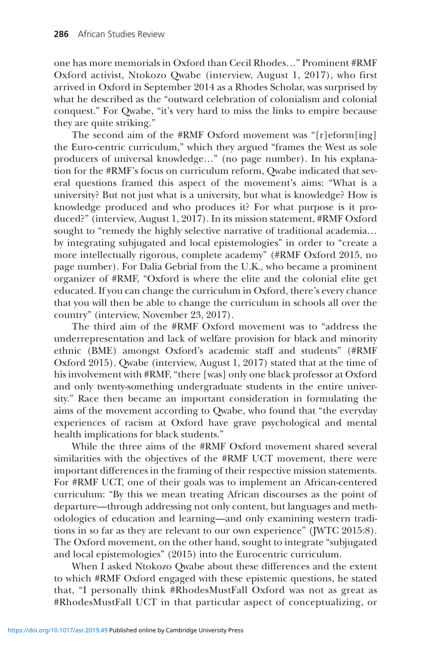one has more memorials in Oxford than Cecil Rhodes…" Prominent #RMF Oxford activist, Ntokozo Qwabe (interview, August 1, 2017), who first arrived in Oxford in September 2014 as a Rhodes Scholar, was surprised by what he described as the "outward celebration of colonialism and colonial conquest." For Qwabe, "it's very hard to miss the links to empire because they are quite striking."

The second aim of the #RMF Oxford movement was "[r]eform[ing] the Euro-centric curriculum," which they argued "frames the West as sole producers of universal knowledge…" (no page number). In his explanation for the #RMF's focus on curriculum reform, Qwabe indicated that several questions framed this aspect of the movement's aims: "What is a university? But not just what is a university, but what is knowledge? How is knowledge produced and who produces it? For what purpose is it produced?" (interview, August 1, 2017). In its mission statement, #RMF Oxford sought to "remedy the highly selective narrative of traditional academia… by integrating subjugated and local epistemologies" in order to "create a more intellectually rigorous, complete academy" (#RMF Oxford 2015, no page number). For Dalia Gebrial from the U.K., who became a prominent organizer of #RMF, "Oxford is where the elite and the colonial elite get educated. If you can change the curriculum in Oxford, there's every chance that you will then be able to change the curriculum in schools all over the country" (interview, November 23, 2017).

The third aim of the #RMF Oxford movement was to "address the underrepresentation and lack of welfare provision for black and minority ethnic (BME) amongst Oxford's academic staff and students" (#RMF Oxford 2015). Qwabe (interview, August 1, 2017) stated that at the time of his involvement with #RMF, "there [was] only one black professor at Oxford and only twenty-something undergraduate students in the entire university." Race then became an important consideration in formulating the aims of the movement according to Qwabe, who found that "the everyday experiences of racism at Oxford have grave psychological and mental health implications for black students."

While the three aims of the #RMF Oxford movement shared several similarities with the objectives of the #RMF UCT movement, there were important differences in the framing of their respective mission statements. For #RMF UCT, one of their goals was to implement an African-centered curriculum: "By this we mean treating African discourses as the point of departure—through addressing not only content, but languages and methodologies of education and learning—and only examining western traditions in so far as they are relevant to our own experience" (JWTC 2015:8). The Oxford movement, on the other hand, sought to integrate "subjugated and local epistemologies" (2015) into the Eurocentric curriculum.

When I asked Ntokozo Qwabe about these differences and the extent to which #RMF Oxford engaged with these epistemic questions, he stated that, "I personally think #RhodesMustFall Oxford was not as great as #RhodesMustFall UCT in that particular aspect of conceptualizing, or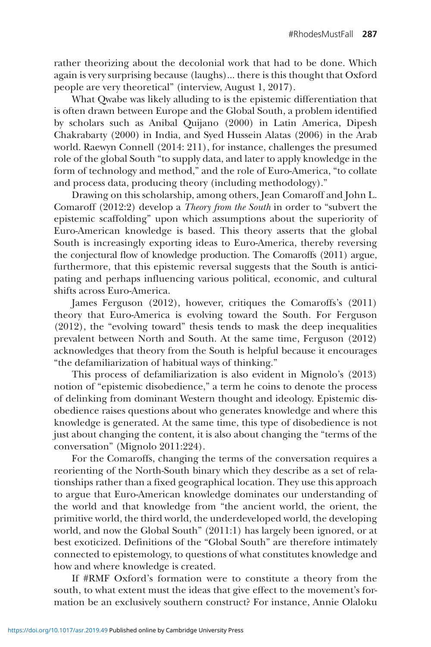rather theorizing about the decolonial work that had to be done. Which again is very surprising because (laughs)... there is this thought that Oxford people are very theoretical" (interview, August 1, 2017).

What Qwabe was likely alluding to is the epistemic differentiation that is often drawn between Europe and the Global South, a problem identified by scholars such as Anibal Quijano (2000) in Latin America, Dipesh Chakrabarty (2000) in India, and Syed Hussein Alatas (2006) in the Arab world. Raewyn Connell (2014: 211), for instance, challenges the presumed role of the global South "to supply data, and later to apply knowledge in the form of technology and method," and the role of Euro-America, "to collate and process data, producing theory (including methodology)."

Drawing on this scholarship, among others, Jean Comaroff and John L. Comaroff (2012:2) develop a *Theory from the South* in order to "subvert the epistemic scaffolding" upon which assumptions about the superiority of Euro-American knowledge is based. This theory asserts that the global South is increasingly exporting ideas to Euro-America, thereby reversing the conjectural flow of knowledge production. The Comaroffs (2011) argue, furthermore, that this epistemic reversal suggests that the South is anticipating and perhaps influencing various political, economic, and cultural shifts across Euro-America.

James Ferguson (2012), however, critiques the Comaroffs's (2011) theory that Euro-America is evolving toward the South. For Ferguson (2012), the "evolving toward" thesis tends to mask the deep inequalities prevalent between North and South. At the same time, Ferguson (2012) acknowledges that theory from the South is helpful because it encourages "the defamiliarization of habitual ways of thinking."

This process of defamiliarization is also evident in Mignolo's (2013) notion of "epistemic disobedience," a term he coins to denote the process of delinking from dominant Western thought and ideology. Epistemic disobedience raises questions about who generates knowledge and where this knowledge is generated. At the same time, this type of disobedience is not just about changing the content, it is also about changing the "terms of the conversation" (Mignolo 2011:224).

For the Comaroffs, changing the terms of the conversation requires a reorienting of the North-South binary which they describe as a set of relationships rather than a fixed geographical location. They use this approach to argue that Euro-American knowledge dominates our understanding of the world and that knowledge from "the ancient world, the orient, the primitive world, the third world, the underdeveloped world, the developing world, and now the Global South" (2011:1) has largely been ignored, or at best exoticized. Definitions of the "Global South" are therefore intimately connected to epistemology, to questions of what constitutes knowledge and how and where knowledge is created.

If #RMF Oxford's formation were to constitute a theory from the south, to what extent must the ideas that give effect to the movement's formation be an exclusively southern construct? For instance, Annie Olaloku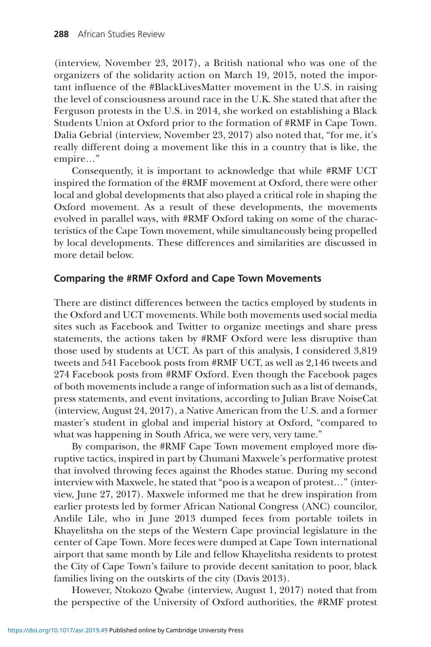(interview, November 23, 2017), a British national who was one of the organizers of the solidarity action on March 19, 2015, noted the important influence of the #BlackLivesMatter movement in the U.S. in raising the level of consciousness around race in the U.K. She stated that after the Ferguson protests in the U.S. in 2014, she worked on establishing a Black Students Union at Oxford prior to the formation of #RMF in Cape Town. Dalia Gebrial (interview, November 23, 2017) also noted that, "for me, it's really different doing a movement like this in a country that is like, the empire…"

Consequently, it is important to acknowledge that while #RMF UCT inspired the formation of the #RMF movement at Oxford, there were other local and global developments that also played a critical role in shaping the Oxford movement. As a result of these developments, the movements evolved in parallel ways, with #RMF Oxford taking on some of the characteristics of the Cape Town movement, while simultaneously being propelled by local developments. These differences and similarities are discussed in more detail below.

# **Comparing the #RMF Oxford and Cape Town Movements**

There are distinct differences between the tactics employed by students in the Oxford and UCT movements. While both movements used social media sites such as Facebook and Twitter to organize meetings and share press statements, the actions taken by #RMF Oxford were less disruptive than those used by students at UCT. As part of this analysis, I considered 3,819 tweets and 541 Facebook posts from #RMF UCT, as well as 2,146 tweets and 274 Facebook posts from #RMF Oxford. Even though the Facebook pages of both movements include a range of information such as a list of demands, press statements, and event invitations, according to Julian Brave NoiseCat (interview, August 24, 2017), a Native American from the U.S. and a former master's student in global and imperial history at Oxford, "compared to what was happening in South Africa, we were very, very tame."

By comparison, the #RMF Cape Town movement employed more disruptive tactics, inspired in part by Chumani Maxwele's performative protest that involved throwing feces against the Rhodes statue. During my second interview with Maxwele, he stated that "poo is a weapon of protest…" (interview, June 27, 2017). Maxwele informed me that he drew inspiration from earlier protests led by former African National Congress (ANC) councilor, Andile Lile, who in June 2013 dumped feces from portable toilets in Khayelitsha on the steps of the Western Cape provincial legislature in the center of Cape Town. More feces were dumped at Cape Town international airport that same month by Lile and fellow Khayelitsha residents to protest the City of Cape Town's failure to provide decent sanitation to poor, black families living on the outskirts of the city (Davis 2013).

However, Ntokozo Qwabe (interview, August 1, 2017) noted that from the perspective of the University of Oxford authorities, the #RMF protest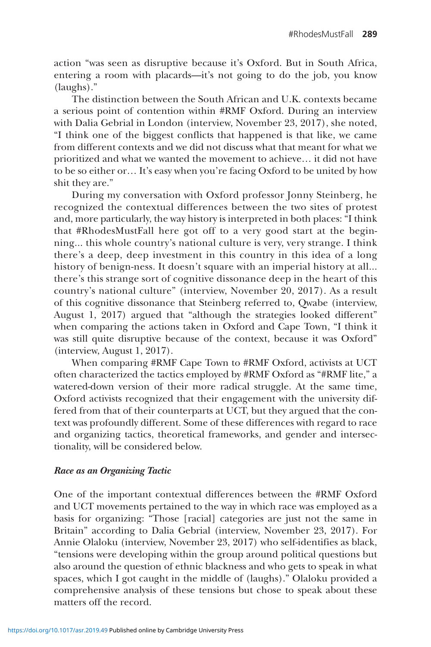action "was seen as disruptive because it's Oxford. But in South Africa, entering a room with placards—it's not going to do the job, you know (laughs)."

The distinction between the South African and U.K. contexts became a serious point of contention within #RMF Oxford. During an interview with Dalia Gebrial in London (interview, November 23, 2017), she noted, "I think one of the biggest conflicts that happened is that like, we came from different contexts and we did not discuss what that meant for what we prioritized and what we wanted the movement to achieve… it did not have to be so either or… It's easy when you're facing Oxford to be united by how shit they are."

During my conversation with Oxford professor Jonny Steinberg, he recognized the contextual differences between the two sites of protest and, more particularly, the way history is interpreted in both places: "I think that #RhodesMustFall here got off to a very good start at the beginning... this whole country's national culture is very, very strange. I think there's a deep, deep investment in this country in this idea of a long history of benign-ness. It doesn't square with an imperial history at all... there's this strange sort of cognitive dissonance deep in the heart of this country's national culture" (interview, November 20, 2017). As a result of this cognitive dissonance that Steinberg referred to, Qwabe (interview, August 1, 2017) argued that "although the strategies looked different" when comparing the actions taken in Oxford and Cape Town, "I think it was still quite disruptive because of the context, because it was Oxford" (interview, August 1, 2017).

When comparing #RMF Cape Town to #RMF Oxford, activists at UCT often characterized the tactics employed by #RMF Oxford as "#RMF lite," a watered-down version of their more radical struggle. At the same time, Oxford activists recognized that their engagement with the university differed from that of their counterparts at UCT, but they argued that the context was profoundly different. Some of these differences with regard to race and organizing tactics, theoretical frameworks, and gender and intersectionality, will be considered below.

# *Race as an Organizing Tactic*

One of the important contextual differences between the #RMF Oxford and UCT movements pertained to the way in which race was employed as a basis for organizing: "Those [racial] categories are just not the same in Britain" according to Dalia Gebrial (interview, November 23, 2017). For Annie Olaloku (interview, November 23, 2017) who self-identifies as black, "tensions were developing within the group around political questions but also around the question of ethnic blackness and who gets to speak in what spaces, which I got caught in the middle of (laughs)." Olaloku provided a comprehensive analysis of these tensions but chose to speak about these matters off the record.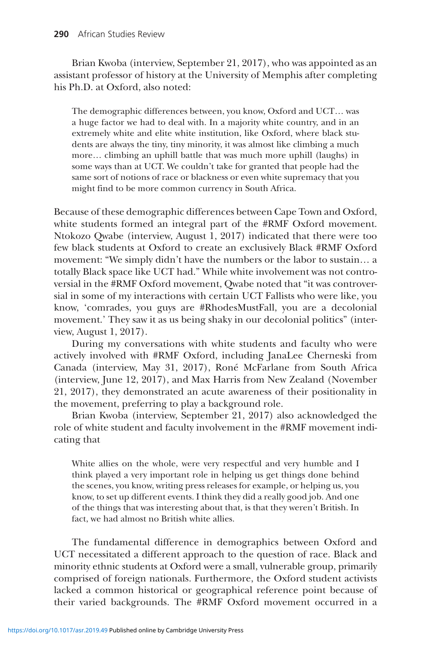Brian Kwoba (interview, September 21, 2017), who was appointed as an assistant professor of history at the University of Memphis after completing his Ph.D. at Oxford, also noted:

The demographic differences between, you know, Oxford and UCT… was a huge factor we had to deal with. In a majority white country, and in an extremely white and elite white institution, like Oxford, where black students are always the tiny, tiny minority, it was almost like climbing a much more… climbing an uphill battle that was much more uphill (laughs) in some ways than at UCT. We couldn't take for granted that people had the same sort of notions of race or blackness or even white supremacy that you might find to be more common currency in South Africa.

Because of these demographic differences between Cape Town and Oxford, white students formed an integral part of the #RMF Oxford movement. Ntokozo Qwabe (interview, August 1, 2017) indicated that there were too few black students at Oxford to create an exclusively Black #RMF Oxford movement: "We simply didn't have the numbers or the labor to sustain… a totally Black space like UCT had." While white involvement was not controversial in the #RMF Oxford movement, Qwabe noted that "it was controversial in some of my interactions with certain UCT Fallists who were like, you know, 'comrades, you guys are #RhodesMustFall, you are a decolonial movement.' They saw it as us being shaky in our decolonial politics" (interview, August 1, 2017).

During my conversations with white students and faculty who were actively involved with #RMF Oxford, including JanaLee Cherneski from Canada (interview, May 31, 2017), Roné McFarlane from South Africa (interview, June 12, 2017), and Max Harris from New Zealand (November 21, 2017), they demonstrated an acute awareness of their positionality in the movement, preferring to play a background role.

Brian Kwoba (interview, September 21, 2017) also acknowledged the role of white student and faculty involvement in the #RMF movement indicating that

White allies on the whole, were very respectful and very humble and I think played a very important role in helping us get things done behind the scenes, you know, writing press releases for example, or helping us, you know, to set up different events. I think they did a really good job. And one of the things that was interesting about that, is that they weren't British. In fact, we had almost no British white allies.

The fundamental difference in demographics between Oxford and UCT necessitated a different approach to the question of race. Black and minority ethnic students at Oxford were a small, vulnerable group, primarily comprised of foreign nationals. Furthermore, the Oxford student activists lacked a common historical or geographical reference point because of their varied backgrounds. The #RMF Oxford movement occurred in a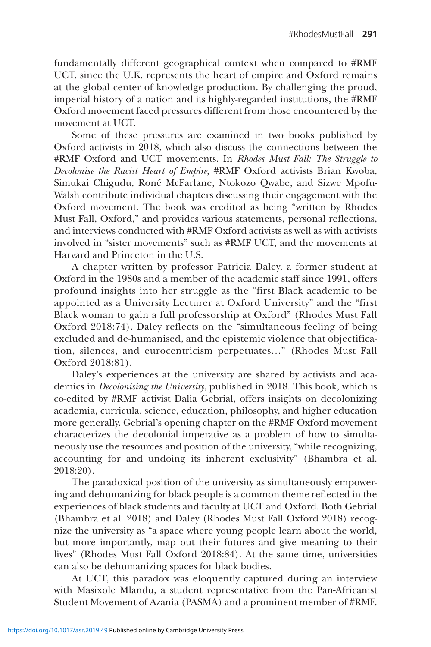fundamentally different geographical context when compared to #RMF UCT, since the U.K. represents the heart of empire and Oxford remains at the global center of knowledge production. By challenging the proud, imperial history of a nation and its highly-regarded institutions, the #RMF Oxford movement faced pressures different from those encountered by the movement at UCT.

Some of these pressures are examined in two books published by Oxford activists in 2018, which also discuss the connections between the #RMF Oxford and UCT movements. In *Rhodes Must Fall: The Struggle to Decolonise the Racist Heart of Empire*, #RMF Oxford activists Brian Kwoba, Simukai Chigudu, Roné McFarlane, Ntokozo Qwabe, and Sizwe Mpofu-Walsh contribute individual chapters discussing their engagement with the Oxford movement. The book was credited as being "written by Rhodes Must Fall, Oxford," and provides various statements, personal reflections, and interviews conducted with #RMF Oxford activists as well as with activists involved in "sister movements" such as #RMF UCT, and the movements at Harvard and Princeton in the U.S.

A chapter written by professor Patricia Daley, a former student at Oxford in the 1980s and a member of the academic staff since 1991, offers profound insights into her struggle as the "first Black academic to be appointed as a University Lecturer at Oxford University" and the "first Black woman to gain a full professorship at Oxford" (Rhodes Must Fall Oxford 2018:74). Daley reflects on the "simultaneous feeling of being excluded and de-humanised, and the epistemic violence that objectification, silences, and eurocentricism perpetuates…" (Rhodes Must Fall Oxford 2018:81).

Daley's experiences at the university are shared by activists and academics in *Decolonising the University*, published in 2018. This book, which is co-edited by #RMF activist Dalia Gebrial, offers insights on decolonizing academia, curricula, science, education, philosophy, and higher education more generally. Gebrial's opening chapter on the #RMF Oxford movement characterizes the decolonial imperative as a problem of how to simultaneously use the resources and position of the university, "while recognizing, accounting for and undoing its inherent exclusivity" (Bhambra et al. 2018:20).

The paradoxical position of the university as simultaneously empowering and dehumanizing for black people is a common theme reflected in the experiences of black students and faculty at UCT and Oxford. Both Gebrial (Bhambra et al. 2018) and Daley (Rhodes Must Fall Oxford 2018) recognize the university as "a space where young people learn about the world, but more importantly, map out their futures and give meaning to their lives" (Rhodes Must Fall Oxford 2018:84). At the same time, universities can also be dehumanizing spaces for black bodies.

At UCT, this paradox was eloquently captured during an interview with Masixole Mlandu, a student representative from the Pan-Africanist Student Movement of Azania (PASMA) and a prominent member of #RMF.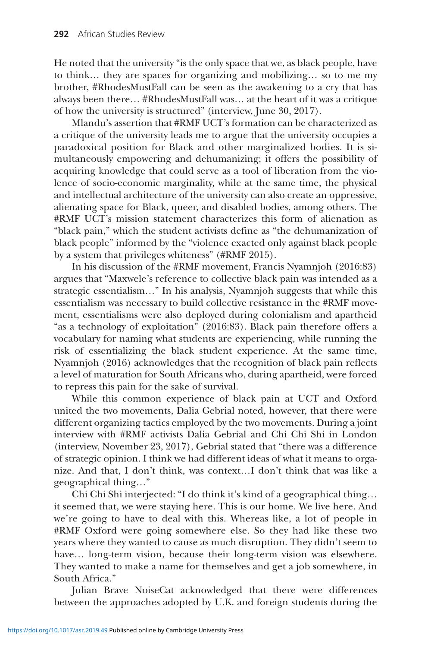He noted that the university "is the only space that we, as black people, have to think… they are spaces for organizing and mobilizing… so to me my brother, #RhodesMustFall can be seen as the awakening to a cry that has always been there… #RhodesMustFall was… at the heart of it was a critique of how the university is structured" (interview, June 30, 2017).

Mlandu's assertion that #RMF UCT's formation can be characterized as a critique of the university leads me to argue that the university occupies a paradoxical position for Black and other marginalized bodies. It is simultaneously empowering and dehumanizing; it offers the possibility of acquiring knowledge that could serve as a tool of liberation from the violence of socio-economic marginality, while at the same time, the physical and intellectual architecture of the university can also create an oppressive, alienating space for Black, queer, and disabled bodies, among others. The #RMF UCT's mission statement characterizes this form of alienation as "black pain," which the student activists define as "the dehumanization of black people" informed by the "violence exacted only against black people by a system that privileges whiteness" (#RMF 2015).

In his discussion of the #RMF movement, Francis Nyamnjoh (2016:83) argues that "Maxwele's reference to collective black pain was intended as a strategic essentialism…" In his analysis, Nyamnjoh suggests that while this essentialism was necessary to build collective resistance in the #RMF movement, essentialisms were also deployed during colonialism and apartheid "as a technology of exploitation" (2016:83). Black pain therefore offers a vocabulary for naming what students are experiencing, while running the risk of essentializing the black student experience. At the same time, Nyamnjoh (2016) acknowledges that the recognition of black pain reflects a level of maturation for South Africans who, during apartheid, were forced to repress this pain for the sake of survival.

While this common experience of black pain at UCT and Oxford united the two movements, Dalia Gebrial noted, however, that there were different organizing tactics employed by the two movements. During a joint interview with #RMF activists Dalia Gebrial and Chi Chi Shi in London (interview, November 23, 2017), Gebrial stated that "there was a difference of strategic opinion. I think we had different ideas of what it means to organize. And that, I don't think, was context…I don't think that was like a geographical thing…"

Chi Chi Shi interjected: "I do think it's kind of a geographical thing… it seemed that, we were staying here. This is our home. We live here. And we're going to have to deal with this. Whereas like, a lot of people in #RMF Oxford were going somewhere else. So they had like these two years where they wanted to cause as much disruption. They didn't seem to have… long-term vision, because their long-term vision was elsewhere. They wanted to make a name for themselves and get a job somewhere, in South Africa."

Julian Brave NoiseCat acknowledged that there were differences between the approaches adopted by U.K. and foreign students during the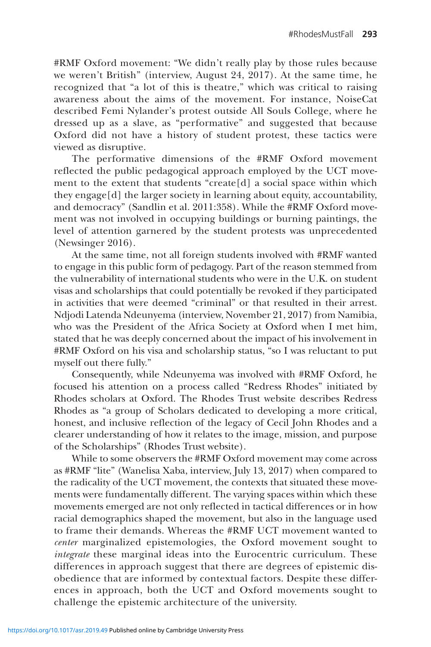#RMF Oxford movement: "We didn't really play by those rules because we weren't British" (interview, August 24, 2017). At the same time, he recognized that "a lot of this is theatre," which was critical to raising awareness about the aims of the movement. For instance, NoiseCat described Femi Nylander's protest outside All Souls College, where he dressed up as a slave, as "performative" and suggested that because Oxford did not have a history of student protest, these tactics were viewed as disruptive.

The performative dimensions of the #RMF Oxford movement reflected the public pedagogical approach employed by the UCT movement to the extent that students "create[d] a social space within which they engage[d] the larger society in learning about equity, accountability, and democracy" (Sandlin et al. 2011:358). While the #RMF Oxford movement was not involved in occupying buildings or burning paintings, the level of attention garnered by the student protests was unprecedented (Newsinger 2016).

At the same time, not all foreign students involved with #RMF wanted to engage in this public form of pedagogy. Part of the reason stemmed from the vulnerability of international students who were in the U.K. on student visas and scholarships that could potentially be revoked if they participated in activities that were deemed "criminal" or that resulted in their arrest. Ndjodi Latenda Ndeunyema (interview, November 21, 2017) from Namibia, who was the President of the Africa Society at Oxford when I met him, stated that he was deeply concerned about the impact of his involvement in #RMF Oxford on his visa and scholarship status, "so I was reluctant to put myself out there fully."

Consequently, while Ndeunyema was involved with #RMF Oxford, he focused his attention on a process called "Redress Rhodes" initiated by Rhodes scholars at Oxford. The Rhodes Trust website describes Redress Rhodes as "a group of Scholars dedicated to developing a more critical, honest, and inclusive reflection of the legacy of Cecil John Rhodes and a clearer understanding of how it relates to the image, mission, and purpose of the Scholarships" (Rhodes Trust website).

While to some observers the #RMF Oxford movement may come across as #RMF "lite" (Wanelisa Xaba, interview, July 13, 2017) when compared to the radicality of the UCT movement, the contexts that situated these movements were fundamentally different. The varying spaces within which these movements emerged are not only reflected in tactical differences or in how racial demographics shaped the movement, but also in the language used to frame their demands. Whereas the #RMF UCT movement wanted to *center* marginalized epistemologies, the Oxford movement sought to *integrate* these marginal ideas into the Eurocentric curriculum. These differences in approach suggest that there are degrees of epistemic disobedience that are informed by contextual factors. Despite these differences in approach, both the UCT and Oxford movements sought to challenge the epistemic architecture of the university.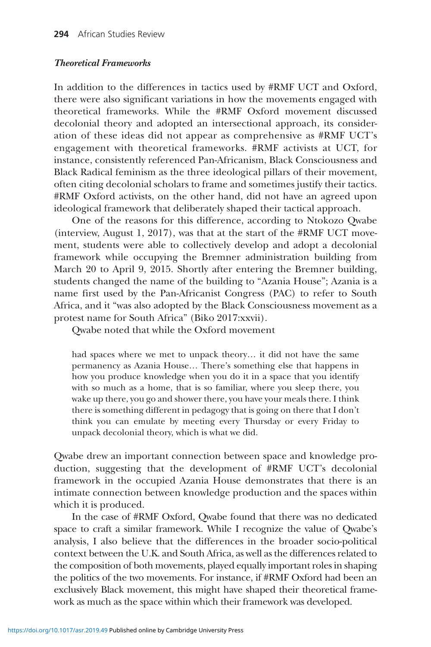#### *Theoretical Frameworks*

In addition to the differences in tactics used by #RMF UCT and Oxford, there were also significant variations in how the movements engaged with theoretical frameworks. While the #RMF Oxford movement discussed decolonial theory and adopted an intersectional approach, its consideration of these ideas did not appear as comprehensive as #RMF UCT's engagement with theoretical frameworks. #RMF activists at UCT, for instance, consistently referenced Pan-Africanism, Black Consciousness and Black Radical feminism as the three ideological pillars of their movement, often citing decolonial scholars to frame and sometimes justify their tactics. #RMF Oxford activists, on the other hand, did not have an agreed upon ideological framework that deliberately shaped their tactical approach.

One of the reasons for this difference, according to Ntokozo Qwabe (interview, August 1, 2017), was that at the start of the  $\#RMF$  UCT movement, students were able to collectively develop and adopt a decolonial framework while occupying the Bremner administration building from March 20 to April 9, 2015. Shortly after entering the Bremner building, students changed the name of the building to "Azania House"; Azania is a name first used by the Pan-Africanist Congress (PAC) to refer to South Africa, and it "was also adopted by the Black Consciousness movement as a protest name for South Africa" (Biko 2017:xxvii).

Qwabe noted that while the Oxford movement

had spaces where we met to unpack theory… it did not have the same permanency as Azania House… There's something else that happens in how you produce knowledge when you do it in a space that you identify with so much as a home, that is so familiar, where you sleep there, you wake up there, you go and shower there, you have your meals there. I think there is something different in pedagogy that is going on there that I don't think you can emulate by meeting every Thursday or every Friday to unpack decolonial theory, which is what we did.

Qwabe drew an important connection between space and knowledge production, suggesting that the development of #RMF UCT's decolonial framework in the occupied Azania House demonstrates that there is an intimate connection between knowledge production and the spaces within which it is produced.

In the case of #RMF Oxford, Qwabe found that there was no dedicated space to craft a similar framework. While I recognize the value of Qwabe's analysis, I also believe that the differences in the broader socio-political context between the U.K. and South Africa, as well as the differences related to the composition of both movements, played equally important roles in shaping the politics of the two movements. For instance, if #RMF Oxford had been an exclusively Black movement, this might have shaped their theoretical framework as much as the space within which their framework was developed.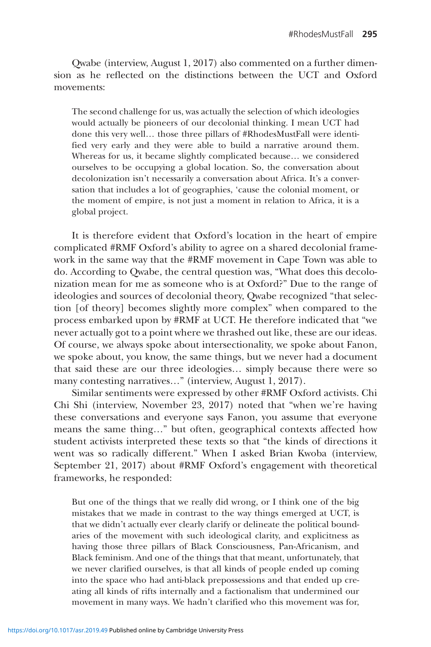Qwabe (interview, August 1, 2017) also commented on a further dimension as he reflected on the distinctions between the UCT and Oxford movements:

The second challenge for us, was actually the selection of which ideologies would actually be pioneers of our decolonial thinking. I mean UCT had done this very well… those three pillars of #RhodesMustFall were identified very early and they were able to build a narrative around them. Whereas for us, it became slightly complicated because… we considered ourselves to be occupying a global location. So, the conversation about decolonization isn't necessarily a conversation about Africa. It's a conversation that includes a lot of geographies, 'cause the colonial moment, or the moment of empire, is not just a moment in relation to Africa, it is a global project.

It is therefore evident that Oxford's location in the heart of empire complicated #RMF Oxford's ability to agree on a shared decolonial framework in the same way that the #RMF movement in Cape Town was able to do. According to Qwabe, the central question was, "What does this decolonization mean for me as someone who is at Oxford?" Due to the range of ideologies and sources of decolonial theory, Qwabe recognized "that selection [of theory] becomes slightly more complex" when compared to the process embarked upon by #RMF at UCT. He therefore indicated that "we never actually got to a point where we thrashed out like, these are our ideas. Of course, we always spoke about intersectionality, we spoke about Fanon, we spoke about, you know, the same things, but we never had a document that said these are our three ideologies… simply because there were so many contesting narratives…" (interview, August 1, 2017).

Similar sentiments were expressed by other #RMF Oxford activists. Chi Chi Shi (interview, November 23, 2017) noted that "when we're having these conversations and everyone says Fanon, you assume that everyone means the same thing…" but often, geographical contexts affected how student activists interpreted these texts so that "the kinds of directions it went was so radically different." When I asked Brian Kwoba (interview, September 21, 2017) about #RMF Oxford's engagement with theoretical frameworks, he responded:

But one of the things that we really did wrong, or I think one of the big mistakes that we made in contrast to the way things emerged at UCT, is that we didn't actually ever clearly clarify or delineate the political boundaries of the movement with such ideological clarity, and explicitness as having those three pillars of Black Consciousness, Pan-Africanism, and Black feminism. And one of the things that that meant, unfortunately, that we never clarified ourselves, is that all kinds of people ended up coming into the space who had anti-black prepossessions and that ended up creating all kinds of rifts internally and a factionalism that undermined our movement in many ways. We hadn't clarified who this movement was for,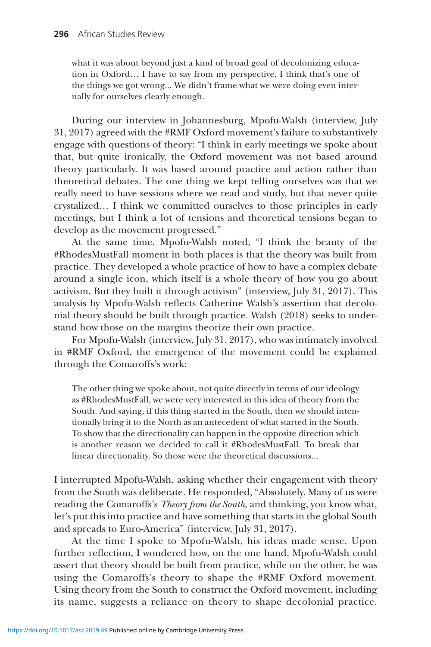what it was about beyond just a kind of broad goal of decolonizing education in Oxford… I have to say from my perspective, I think that's one of the things we got wrong... We didn't frame what we were doing even internally for ourselves clearly enough.

During our interview in Johannesburg, Mpofu-Walsh (interview, July 31, 2017) agreed with the #RMF Oxford movement's failure to substantively engage with questions of theory: "I think in early meetings we spoke about that, but quite ironically, the Oxford movement was not based around theory particularly. It was based around practice and action rather than theoretical debates. The one thing we kept telling ourselves was that we really need to have sessions where we read and study, but that never quite crystalized… I think we committed ourselves to those principles in early meetings, but I think a lot of tensions and theoretical tensions began to develop as the movement progressed."

At the same time, Mpofu-Walsh noted, "I think the beauty of the #RhodesMustFall moment in both places is that the theory was built from practice. They developed a whole practice of how to have a complex debate around a single icon, which itself is a whole theory of how you go about activism. But they built it through activism" (interview, July 31, 2017). This analysis by Mpofu-Walsh reflects Catherine Walsh's assertion that decolonial theory should be built through practice. Walsh (2018) seeks to understand how those on the margins theorize their own practice.

For Mpofu-Walsh (interview, July 31, 2017), who was intimately involved in #RMF Oxford, the emergence of the movement could be explained through the Comaroffs's work:

The other thing we spoke about, not quite directly in terms of our ideology as #RhodesMustFall, we were very interested in this idea of theory from the South. And saying, if this thing started in the South, then we should intentionally bring it to the North as an antecedent of what started in the South. To show that the directionality can happen in the opposite direction which is another reason we decided to call it #RhodesMustFall. To break that linear directionality. So those were the theoretical discussions...

I interrupted Mpofu-Walsh, asking whether their engagement with theory from the South was deliberate. He responded, "Absolutely. Many of us were reading the Comaroffs's *Theory from the South*, and thinking, you know what, let's put this into practice and have something that starts in the global South and spreads to Euro-America" (interview, July 31, 2017).

At the time I spoke to Mpofu-Walsh, his ideas made sense. Upon further reflection, I wondered how, on the one hand, Mpofu-Walsh could assert that theory should be built from practice, while on the other, he was using the Comaroffs's theory to shape the #RMF Oxford movement. Using theory from the South to construct the Oxford movement, including its name, suggests a reliance on theory to shape decolonial practice.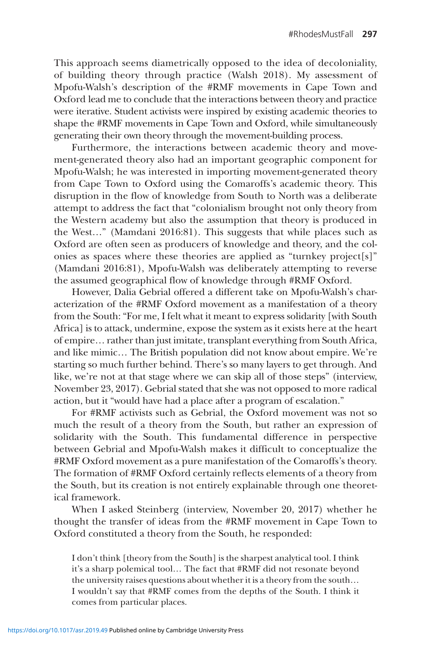This approach seems diametrically opposed to the idea of decoloniality, of building theory through practice (Walsh 2018). My assessment of Mpofu-Walsh's description of the #RMF movements in Cape Town and Oxford lead me to conclude that the interactions between theory and practice were iterative. Student activists were inspired by existing academic theories to shape the #RMF movements in Cape Town and Oxford, while simultaneously generating their own theory through the movement-building process.

Furthermore, the interactions between academic theory and movement-generated theory also had an important geographic component for Mpofu-Walsh; he was interested in importing movement-generated theory from Cape Town to Oxford using the Comaroffs's academic theory. This disruption in the flow of knowledge from South to North was a deliberate attempt to address the fact that "colonialism brought not only theory from the Western academy but also the assumption that theory is produced in the West…" (Mamdani 2016:81). This suggests that while places such as Oxford are often seen as producers of knowledge and theory, and the colonies as spaces where these theories are applied as "turnkey project[s]" (Mamdani 2016:81), Mpofu-Walsh was deliberately attempting to reverse the assumed geographical flow of knowledge through #RMF Oxford.

However, Dalia Gebrial offered a different take on Mpofu-Walsh's characterization of the #RMF Oxford movement as a manifestation of a theory from the South: "For me, I felt what it meant to express solidarity [with South Africa] is to attack, undermine, expose the system as it exists here at the heart of empire… rather than just imitate, transplant everything from South Africa, and like mimic… The British population did not know about empire. We're starting so much further behind. There's so many layers to get through. And like, we're not at that stage where we can skip all of those steps" (interview, November 23, 2017). Gebrial stated that she was not opposed to more radical action, but it "would have had a place after a program of escalation."

For #RMF activists such as Gebrial, the Oxford movement was not so much the result of a theory from the South, but rather an expression of solidarity with the South. This fundamental difference in perspective between Gebrial and Mpofu-Walsh makes it difficult to conceptualize the #RMF Oxford movement as a pure manifestation of the Comaroffs's theory. The formation of #RMF Oxford certainly reflects elements of a theory from the South, but its creation is not entirely explainable through one theoretical framework.

When I asked Steinberg (interview, November 20, 2017) whether he thought the transfer of ideas from the #RMF movement in Cape Town to Oxford constituted a theory from the South, he responded:

I don't think [theory from the South] is the sharpest analytical tool. I think it's a sharp polemical tool… The fact that #RMF did not resonate beyond the university raises questions about whether it is a theory from the south… I wouldn't say that #RMF comes from the depths of the South. I think it comes from particular places.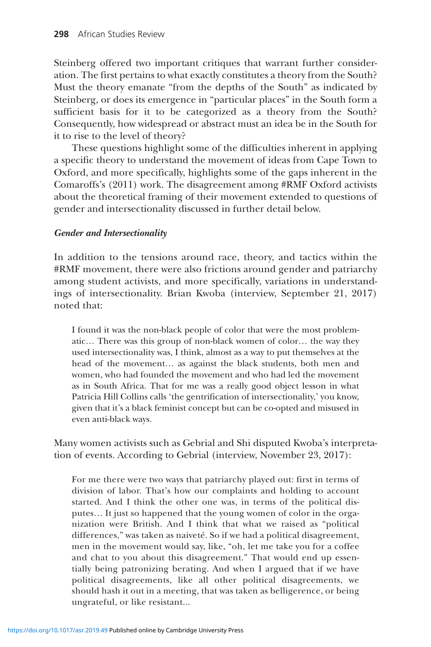Steinberg offered two important critiques that warrant further consideration. The first pertains to what exactly constitutes a theory from the South? Must the theory emanate "from the depths of the South" as indicated by Steinberg, or does its emergence in "particular places" in the South form a sufficient basis for it to be categorized as a theory from the South? Consequently, how widespread or abstract must an idea be in the South for it to rise to the level of theory?

These questions highlight some of the difficulties inherent in applying a specific theory to understand the movement of ideas from Cape Town to Oxford, and more specifically, highlights some of the gaps inherent in the Comaroffs's (2011) work. The disagreement among #RMF Oxford activists about the theoretical framing of their movement extended to questions of gender and intersectionality discussed in further detail below.

#### *Gender and Intersectionality*

In addition to the tensions around race, theory, and tactics within the #RMF movement, there were also frictions around gender and patriarchy among student activists, and more specifically, variations in understandings of intersectionality. Brian Kwoba (interview, September 21, 2017) noted that:

I found it was the non-black people of color that were the most problematic… There was this group of non-black women of color… the way they used intersectionality was, I think, almost as a way to put themselves at the head of the movement… as against the black students, both men and women, who had founded the movement and who had led the movement as in South Africa. That for me was a really good object lesson in what Patricia Hill Collins calls 'the gentrification of intersectionality,' you know, given that it's a black feminist concept but can be co-opted and misused in even anti-black ways.

Many women activists such as Gebrial and Shi disputed Kwoba's interpretation of events. According to Gebrial (interview, November 23, 2017):

For me there were two ways that patriarchy played out: first in terms of division of labor. That's how our complaints and holding to account started. And I think the other one was, in terms of the political disputes… It just so happened that the young women of color in the organization were British. And I think that what we raised as "political differences," was taken as naiveté. So if we had a political disagreement, men in the movement would say, like, "oh, let me take you for a coffee and chat to you about this disagreement." That would end up essentially being patronizing berating. And when I argued that if we have political disagreements, like all other political disagreements, we should hash it out in a meeting, that was taken as belligerence, or being ungrateful, or like resistant...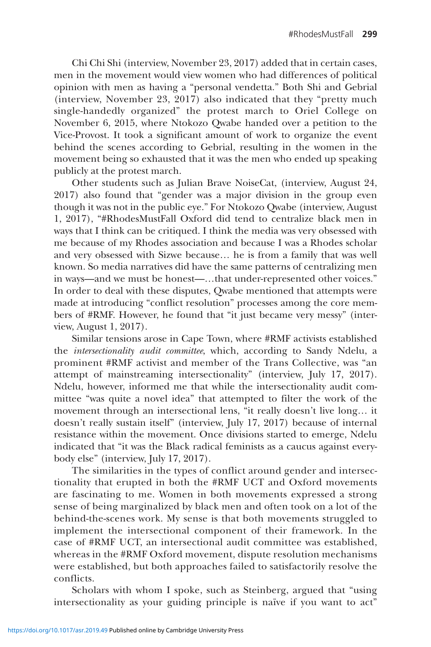Chi Chi Shi (interview, November 23, 2017) added that in certain cases, men in the movement would view women who had differences of political opinion with men as having a "personal vendetta." Both Shi and Gebrial (interview, November 23, 2017) also indicated that they "pretty much single-handedly organized" the protest march to Oriel College on November 6, 2015, where Ntokozo Qwabe handed over a petition to the Vice-Provost. It took a significant amount of work to organize the event behind the scenes according to Gebrial, resulting in the women in the movement being so exhausted that it was the men who ended up speaking publicly at the protest march.

Other students such as Julian Brave NoiseCat, (interview, August 24, 2017) also found that "gender was a major division in the group even though it was not in the public eye." For Ntokozo Qwabe (interview, August 1, 2017), "#RhodesMustFall Oxford did tend to centralize black men in ways that I think can be critiqued. I think the media was very obsessed with me because of my Rhodes association and because I was a Rhodes scholar and very obsessed with Sizwe because… he is from a family that was well known. So media narratives did have the same patterns of centralizing men in ways—and we must be honest—…that under-represented other voices." In order to deal with these disputes, Qwabe mentioned that attempts were made at introducing "conflict resolution" processes among the core members of #RMF. However, he found that "it just became very messy" (interview, August 1, 2017).

Similar tensions arose in Cape Town, where #RMF activists established the *intersectionality audit committee*, which, according to Sandy Ndelu, a prominent #RMF activist and member of the Trans Collective, was "an attempt of mainstreaming intersectionality" (interview, July 17, 2017). Ndelu, however, informed me that while the intersectionality audit committee "was quite a novel idea" that attempted to filter the work of the movement through an intersectional lens, "it really doesn't live long… it doesn't really sustain itself" (interview, July 17, 2017) because of internal resistance within the movement. Once divisions started to emerge, Ndelu indicated that "it was the Black radical feminists as a caucus against everybody else" (interview, July 17, 2017).

The similarities in the types of conflict around gender and intersectionality that erupted in both the #RMF UCT and Oxford movements are fascinating to me. Women in both movements expressed a strong sense of being marginalized by black men and often took on a lot of the behind-the-scenes work. My sense is that both movements struggled to implement the intersectional component of their framework. In the case of #RMF UCT, an intersectional audit committee was established, whereas in the #RMF Oxford movement, dispute resolution mechanisms were established, but both approaches failed to satisfactorily resolve the conflicts.

Scholars with whom I spoke, such as Steinberg, argued that "using intersectionality as your guiding principle is naïve if you want to act"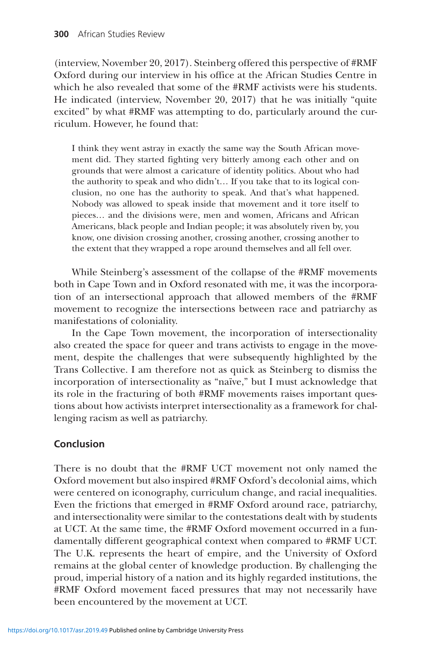(interview, November 20, 2017). Steinberg offered this perspective of #RMF Oxford during our interview in his office at the African Studies Centre in which he also revealed that some of the #RMF activists were his students. He indicated (interview, November 20, 2017) that he was initially "quite excited" by what #RMF was attempting to do, particularly around the curriculum. However, he found that:

I think they went astray in exactly the same way the South African movement did. They started fighting very bitterly among each other and on grounds that were almost a caricature of identity politics. About who had the authority to speak and who didn't… If you take that to its logical conclusion, no one has the authority to speak. And that's what happened. Nobody was allowed to speak inside that movement and it tore itself to pieces… and the divisions were, men and women, Africans and African Americans, black people and Indian people; it was absolutely riven by, you know, one division crossing another, crossing another, crossing another to the extent that they wrapped a rope around themselves and all fell over.

While Steinberg's assessment of the collapse of the #RMF movements both in Cape Town and in Oxford resonated with me, it was the incorporation of an intersectional approach that allowed members of the #RMF movement to recognize the intersections between race and patriarchy as manifestations of coloniality.

In the Cape Town movement, the incorporation of intersectionality also created the space for queer and trans activists to engage in the movement, despite the challenges that were subsequently highlighted by the Trans Collective. I am therefore not as quick as Steinberg to dismiss the incorporation of intersectionality as "naïve," but I must acknowledge that its role in the fracturing of both #RMF movements raises important questions about how activists interpret intersectionality as a framework for challenging racism as well as patriarchy.

# **Conclusion**

There is no doubt that the #RMF UCT movement not only named the Oxford movement but also inspired #RMF Oxford's decolonial aims, which were centered on iconography, curriculum change, and racial inequalities. Even the frictions that emerged in #RMF Oxford around race, patriarchy, and intersectionality were similar to the contestations dealt with by students at UCT. At the same time, the #RMF Oxford movement occurred in a fundamentally different geographical context when compared to #RMF UCT. The U.K. represents the heart of empire, and the University of Oxford remains at the global center of knowledge production. By challenging the proud, imperial history of a nation and its highly regarded institutions, the #RMF Oxford movement faced pressures that may not necessarily have been encountered by the movement at UCT.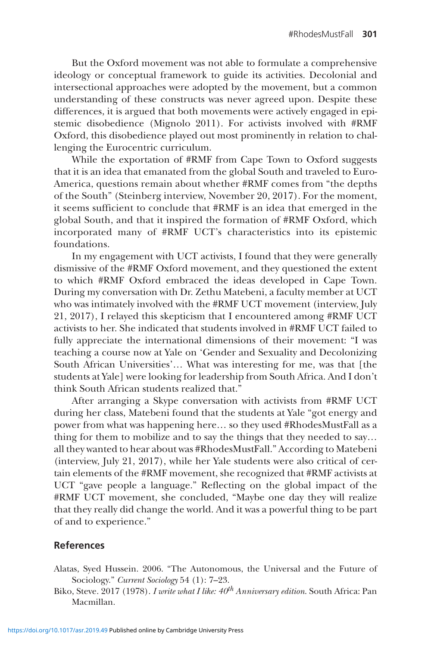But the Oxford movement was not able to formulate a comprehensive ideology or conceptual framework to guide its activities. Decolonial and intersectional approaches were adopted by the movement, but a common understanding of these constructs was never agreed upon. Despite these differences, it is argued that both movements were actively engaged in epistemic disobedience (Mignolo 2011). For activists involved with #RMF Oxford, this disobedience played out most prominently in relation to challenging the Eurocentric curriculum.

While the exportation of #RMF from Cape Town to Oxford suggests that it is an idea that emanated from the global South and traveled to Euro-America, questions remain about whether #RMF comes from "the depths of the South" (Steinberg interview, November 20, 2017). For the moment, it seems sufficient to conclude that #RMF is an idea that emerged in the global South, and that it inspired the formation of #RMF Oxford, which incorporated many of #RMF UCT's characteristics into its epistemic foundations.

In my engagement with UCT activists, I found that they were generally dismissive of the #RMF Oxford movement, and they questioned the extent to which #RMF Oxford embraced the ideas developed in Cape Town. During my conversation with Dr. Zethu Matebeni, a faculty member at UCT who was intimately involved with the #RMF UCT movement (interview, July 21, 2017), I relayed this skepticism that I encountered among #RMF UCT activists to her. She indicated that students involved in #RMF UCT failed to fully appreciate the international dimensions of their movement: "I was teaching a course now at Yale on 'Gender and Sexuality and Decolonizing South African Universities'… What was interesting for me, was that [the students at Yale] were looking for leadership from South Africa. And I don't think South African students realized that."

After arranging a Skype conversation with activists from #RMF UCT during her class, Matebeni found that the students at Yale "got energy and power from what was happening here… so they used #RhodesMustFall as a thing for them to mobilize and to say the things that they needed to say… all they wanted to hear about was #RhodesMustFall." According to Matebeni (interview, July 21, 2017), while her Yale students were also critical of certain elements of the #RMF movement, she recognized that #RMF activists at UCT "gave people a language." Reflecting on the global impact of the #RMF UCT movement, she concluded, "Maybe one day they will realize that they really did change the world. And it was a powerful thing to be part of and to experience."

# **References**

- Alatas, Syed Hussein. 2006. "The Autonomous, the Universal and the Future of Sociology." *Current Sociology* 54 (1): 7–23.
- Biko, Steve. 2017 (1978). *I write what I like: 40th Anniversary edition*. South Africa: Pan Macmillan.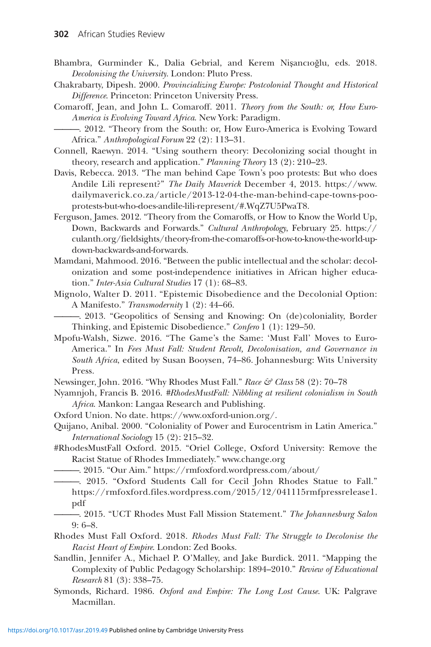- Bhambra, Gurminder K., Dalia Gebrial, and Kerem Nişancıoğlu, eds. 2018. *Decolonising the University*. London: Pluto Press.
- Chakrabarty, Dipesh. 2000. *Provincializing Europe: Postcolonial Thought and Historical Difference*. Princeton: Princeton University Press.
- Comaroff, Jean, and John L. Comaroff. 2011. *Theory from the South: or, How Euro-America is Evolving Toward Africa*. New York: Paradigm.
- ———. 2012. "Theory from the South: or, How Euro-America is Evolving Toward Africa." *Anthropological Forum* 22 (2): 113–31.
- Connell, Raewyn. 2014. "Using southern theory: Decolonizing social thought in theory, research and application." *Planning Theory* 13 (2): 210–23.
- Davis, Rebecca. 2013. "The man behind Cape Town's poo protests: But who does Andile Lili represent?" *The Daily Maverick* December 4, 2013. [https://www.](https://www.dailymaverick.co.za/article/2013-12-04-the-man-behind-cape-towns-poo-protests-but-who-does-andile-lili-represent/#.WqZ7U5PwaT8) [dailymaverick.co.za/article/2013-12-04-the-man-behind-cape-towns-poo](https://www.dailymaverick.co.za/article/2013-12-04-the-man-behind-cape-towns-poo-protests-but-who-does-andile-lili-represent/#.WqZ7U5PwaT8)[protests-but-who-does-andile-lili-represent/#.WqZ7U5PwaT8.](https://www.dailymaverick.co.za/article/2013-12-04-the-man-behind-cape-towns-poo-protests-but-who-does-andile-lili-represent/#.WqZ7U5PwaT8)
- Ferguson, James. 2012. "Theory from the Comaroffs, or How to Know the World Up, Down, Backwards and Forwards." *Cultural Anthropology*, February 25. [https://](https://culanth.org/fieldsights/theory-from-the-comaroffs-or-how-to-know-the-world-up-down-backwards-and-forwards) [culanth.org/fieldsights/theory-from-the-comaroffs-or-how-to-know-the-world-up](https://culanth.org/fieldsights/theory-from-the-comaroffs-or-how-to-know-the-world-up-down-backwards-and-forwards)[down-backwards-and-forwards.](https://culanth.org/fieldsights/theory-from-the-comaroffs-or-how-to-know-the-world-up-down-backwards-and-forwards)
- Mamdani, Mahmood. 2016. "Between the public intellectual and the scholar: decolonization and some post-independence initiatives in African higher education." *Inter-Asia Cultural Studies* 17 (1): 68–83.
- Mignolo, Walter D. 2011. "Epistemic Disobedience and the Decolonial Option: A Manifesto." *Transmodernity* 1 (2): 44–66.
- ———. 2013. "Geopolitics of Sensing and Knowing: On (de)coloniality, Border Thinking, and Epistemic Disobedience." *Confero* 1 (1): 129–50.
- Mpofu-Walsh, Sizwe. 2016. "The Game's the Same: 'Must Fall' Moves to Euro-America." In *Fees Must Fall: Student Revolt, Decolonisation, and Governance in South Africa*, edited by Susan Booysen, 74–86. Johannesburg: Wits University Press.
- Newsinger, John. 2016. "Why Rhodes Must Fall." *Race & Class* 58 (2): 70–78
- Nyamnjoh, Francis B. 2016. *#RhodesMustFall: Nibbling at resilient colonialism in South Africa*. Mankon: Langaa Research and Publishing.
- Oxford Union. No date. [https://www.oxford-union.org/.](https://www.oxford-union.org/)
- Quijano, Anibal. 2000. "Coloniality of Power and Eurocentrism in Latin America." *International Sociology* 15 (2): 215–32.
- #RhodesMustFall Oxford. 2015. "Oriel College, Oxford University: Remove the Racist Statue of Rhodes Immediately." [www.change.org](http://www.change.org)
- ———. 2015. "Our Aim." <https://rmfoxford.wordpress.com/about/>
- ———. 2015. "Oxford Students Call for Cecil John Rhodes Statue to Fall." [https://rmfoxford.files.wordpress.com/2015/12/041115rmfpressrelease1.](https://rmfoxford.files.wordpress.com/2015/12/041115rmfpressrelease1.pdf) [pdf](https://rmfoxford.files.wordpress.com/2015/12/041115rmfpressrelease1.pdf)
- ———. 2015. "UCT Rhodes Must Fall Mission Statement." *The Johannesburg Salon* 9: 6–8.
- Rhodes Must Fall Oxford. 2018. *Rhodes Must Fall: The Struggle to Decolonise the Racist Heart of Empire*. London: Zed Books.
- Sandlin, Jennifer A., Michael P. O'Malley, and Jake Burdick. 2011. "Mapping the Complexity of Public Pedagogy Scholarship: 1894–2010." *Review of Educational Research* 81 (3): 338–75.
- Symonds, Richard. 1986. *Oxford and Empire: The Long Lost Cause*. UK: Palgrave Macmillan.